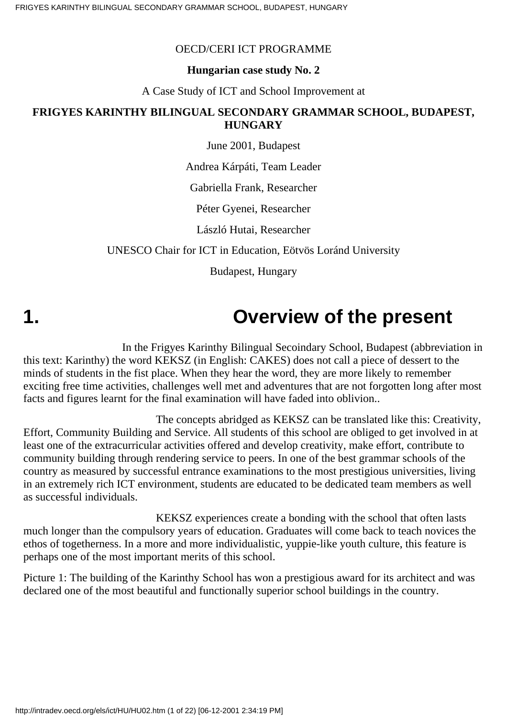#### OECD/CERI ICT PROGRAMME

#### **Hungarian case study No. 2**

A Case Study of ICT and School Improvement at

#### **FRIGYES KARINTHY BILINGUAL SECONDARY GRAMMAR SCHOOL, BUDAPEST, HUNGARY**

June 2001, Budapest

Andrea Kárpáti, Team Leader

Gabriella Frank, Researcher

Péter Gyenei, Researcher

László Hutai, Researcher

#### UNESCO Chair for ICT in Education, Eötvös Loránd University

Budapest, Hungary

# **1. Overview of the present**

 In the Frigyes Karinthy Bilingual Secoindary School, Budapest (abbreviation in this text: Karinthy) the word KEKSZ (in English: CAKES) does not call a piece of dessert to the minds of students in the fist place. When they hear the word, they are more likely to remember exciting free time activities, challenges well met and adventures that are not forgotten long after most facts and figures learnt for the final examination will have faded into oblivion..

 The concepts abridged as KEKSZ can be translated like this: Creativity, Effort, Community Building and Service. All students of this school are obliged to get involved in at least one of the extracurricular activities offered and develop creativity, make effort, contribute to community building through rendering service to peers. In one of the best grammar schools of the country as measured by successful entrance examinations to the most prestigious universities, living in an extremely rich ICT environment, students are educated to be dedicated team members as well as successful individuals.

 KEKSZ experiences create a bonding with the school that often lasts much longer than the compulsory years of education. Graduates will come back to teach novices the ethos of togetherness. In a more and more individualistic, yuppie-like youth culture, this feature is perhaps one of the most important merits of this school.

Picture 1: The building of the Karinthy School has won a prestigious award for its architect and was declared one of the most beautiful and functionally superior school buildings in the country.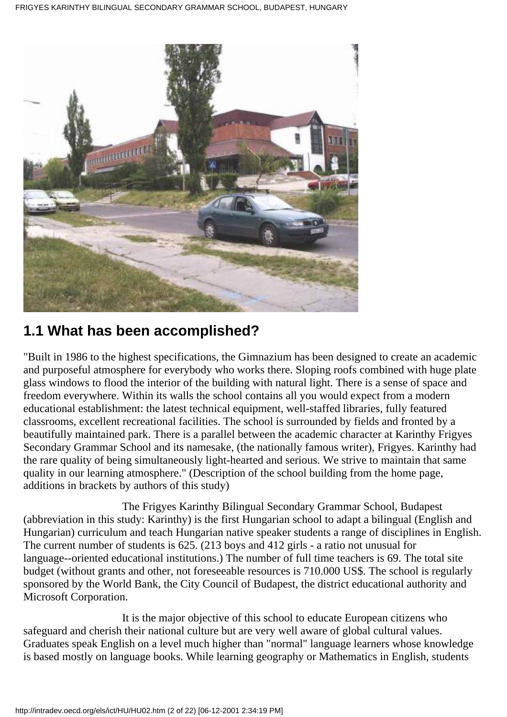

### **1.1 What has been accomplished?**

"Built in 1986 to the highest specifications, the Gimnazium has been designed to create an academic and purposeful atmosphere for everybody who works there. Sloping roofs combined with huge plate glass windows to flood the interior of the building with natural light. There is a sense of space and freedom everywhere. Within its walls the school contains all you would expect from a modern educational establishment: the latest technical equipment, well-staffed libraries, fully featured classrooms, excellent recreational facilities. The school is surrounded by fields and fronted by a beautifully maintained park. There is a parallel between the academic character at Karinthy Frigyes Secondary Grammar School and its namesake, (the nationally famous writer), Frigyes. Karinthy had the rare quality of being simultaneously light-hearted and serious. We strive to maintain that same quality in our learning atmosphere." (Description of the school building from the home page, additions in brackets by authors of this study)

 The Frigyes Karinthy Bilingual Secondary Grammar School, Budapest (abbreviation in this study: Karinthy) is the first Hungarian school to adapt a bilingual (English and Hungarian) curriculum and teach Hungarian native speaker students a range of disciplines in English. The current number of students is 625. (213 boys and 412 girls - a ratio not unusual for language--oriented educational institutions.) The number of full time teachers is 69. The total site budget (without grants and other, not foreseeable resources is 710.000 US\$. The school is regularly sponsored by the World Bank, the City Council of Budapest, the district educational authority and Microsoft Corporation.

 It is the major objective of this school to educate European citizens who safeguard and cherish their national culture but are very well aware of global cultural values. Graduates speak English on a level much higher than "normal" language learners whose knowledge is based mostly on language books. While learning geography or Mathematics in English, students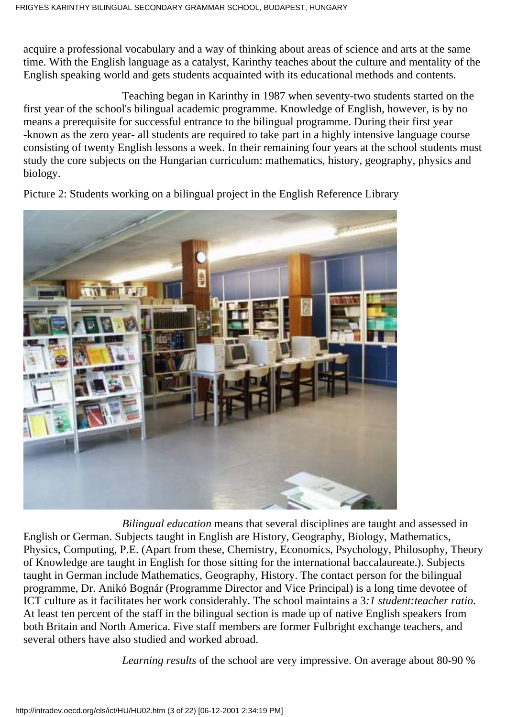acquire a professional vocabulary and a way of thinking about areas of science and arts at the same time. With the English language as a catalyst, Karinthy teaches about the culture and mentality of the English speaking world and gets students acquainted with its educational methods and contents.

 Teaching began in Karinthy in 1987 when seventy-two students started on the first year of the school's bilingual academic programme. Knowledge of English, however, is by no means a prerequisite for successful entrance to the bilingual programme. During their first year -known as the zero year- all students are required to take part in a highly intensive language course consisting of twenty English lessons a week. In their remaining four years at the school students must study the core subjects on the Hungarian curriculum: mathematics, history, geography, physics and biology.



Picture 2: Students working on a bilingual project in the English Reference Library

 *Bilingual education* means that several disciplines are taught and assessed in English or German. Subjects taught in English are History, Geography, Biology, Mathematics, Physics, Computing, P.E. (Apart from these, Chemistry, Economics, Psychology, Philosophy, Theory of Knowledge are taught in English for those sitting for the international baccalaureate.). Subjects taught in German include Mathematics, Geography, History. The contact person for the bilingual programme, Dr. Anikó Bognár (Programme Director and Vice Principal) is a long time devotee of ICT culture as it facilitates her work considerably. The school maintains a 3*:1 student:teacher ratio*. At least ten percent of the staff in the bilingual section is made up of native English speakers from both Britain and North America. Five staff members are former Fulbright exchange teachers, and several others have also studied and worked abroad.

*Learning results* of the school are very impressive. On average about 80-90 %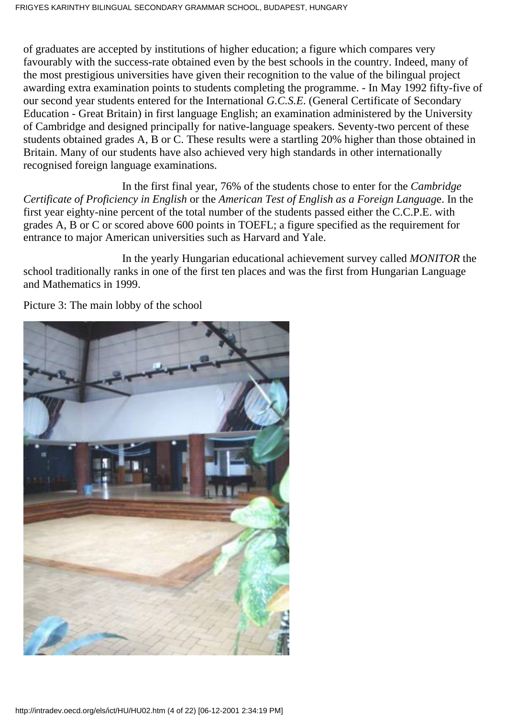of graduates are accepted by institutions of higher education; a figure which compares very favourably with the success-rate obtained even by the best schools in the country. Indeed, many of the most prestigious universities have given their recognition to the value of the bilingual project awarding extra examination points to students completing the programme. - In May 1992 fifty-five of our second year students entered for the International *G.C.S.E*. (General Certificate of Secondary Education - Great Britain) in first language English; an examination administered by the University of Cambridge and designed principally for native-language speakers. Seventy-two percent of these students obtained grades A, B or C. These results were a startling 20% higher than those obtained in Britain. Many of our students have also achieved very high standards in other internationally recognised foreign language examinations.

In the first final year, 76% of the students chose to enter for the *Cambridge Certificate of Proficiency in English* or the *American Test of English as a Foreign Languag*e. In the first year eighty-nine percent of the total number of the students passed either the C.C.P.E. with grades A, B or C or scored above 600 points in TOEFL; a figure specified as the requirement for entrance to major American universities such as Harvard and Yale.

 In the yearly Hungarian educational achievement survey called *MONITOR* the school traditionally ranks in one of the first ten places and was the first from Hungarian Language and Mathematics in 1999.



Picture 3: The main lobby of the school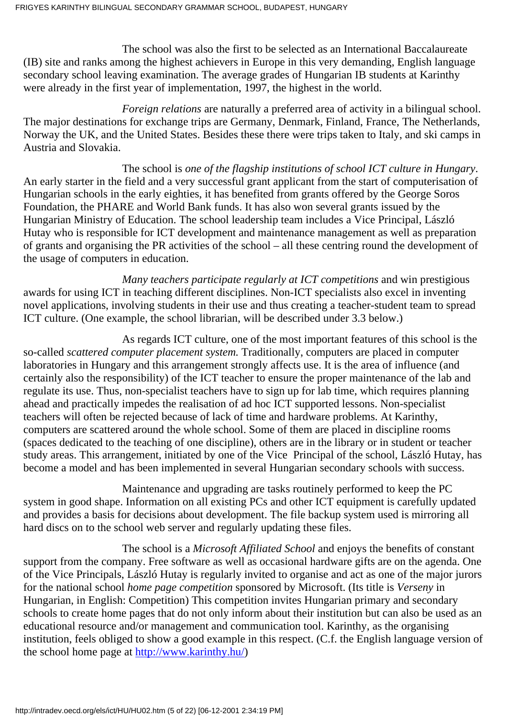The school was also the first to be selected as an International Baccalaureate (IB) site and ranks among the highest achievers in Europe in this very demanding, English language secondary school leaving examination. The average grades of Hungarian IB students at Karinthy were already in the first year of implementation, 1997, the highest in the world.

 *Foreign relations* are naturally a preferred area of activity in a bilingual school. The major destinations for exchange trips are Germany, Denmark, Finland, France, The Netherlands, Norway the UK, and the United States. Besides these there were trips taken to Italy, and ski camps in Austria and Slovakia.

 The school is *one of the flagship institutions of school ICT culture in Hungary*. An early starter in the field and a very successful grant applicant from the start of computerisation of Hungarian schools in the early eighties, it has benefited from grants offered by the George Soros Foundation, the PHARE and World Bank funds. It has also won several grants issued by the Hungarian Ministry of Education. The school leadership team includes a Vice Principal, László Hutay who is responsible for ICT development and maintenance management as well as preparation of grants and organising the PR activities of the school – all these centring round the development of the usage of computers in education.

 *Many teachers participate regularly at ICT competitions* and win prestigious awards for using ICT in teaching different disciplines. Non-ICT specialists also excel in inventing novel applications, involving students in their use and thus creating a teacher-student team to spread ICT culture. (One example, the school librarian, will be described under 3.3 below.)

 As regards ICT culture, one of the most important features of this school is the so-called *scattered computer placement system.* Traditionally, computers are placed in computer laboratories in Hungary and this arrangement strongly affects use. It is the area of influence (and certainly also the responsibility) of the ICT teacher to ensure the proper maintenance of the lab and regulate its use. Thus, non-specialist teachers have to sign up for lab time, which requires planning ahead and practically impedes the realisation of ad hoc ICT supported lessons. Non-specialist teachers will often be rejected because of lack of time and hardware problems. At Karinthy, computers are scattered around the whole school. Some of them are placed in discipline rooms (spaces dedicated to the teaching of one discipline), others are in the library or in student or teacher study areas. This arrangement, initiated by one of the Vice Principal of the school, László Hutay, has become a model and has been implemented in several Hungarian secondary schools with success.

 Maintenance and upgrading are tasks routinely performed to keep the PC system in good shape. Information on all existing PCs and other ICT equipment is carefully updated and provides a basis for decisions about development. The file backup system used is mirroring all hard discs on to the school web server and regularly updating these files.

 The school is a *Microsoft Affiliated School* and enjoys the benefits of constant support from the company. Free software as well as occasional hardware gifts are on the agenda. One of the Vice Principals, László Hutay is regularly invited to organise and act as one of the major jurors for the national school *home page competition* sponsored by Microsoft. (Its title is *Verseny* in Hungarian, in English: Competition) This competition invites Hungarian primary and secondary schools to create home pages that do not only inform about their institution but can also be used as an educational resource and/or management and communication tool. Karinthy, as the organising institution, feels obliged to show a good example in this respect. (C.f. the English language version of the school home page at [http://www.karinthy.hu/\)](http://www.karinthy.hu/)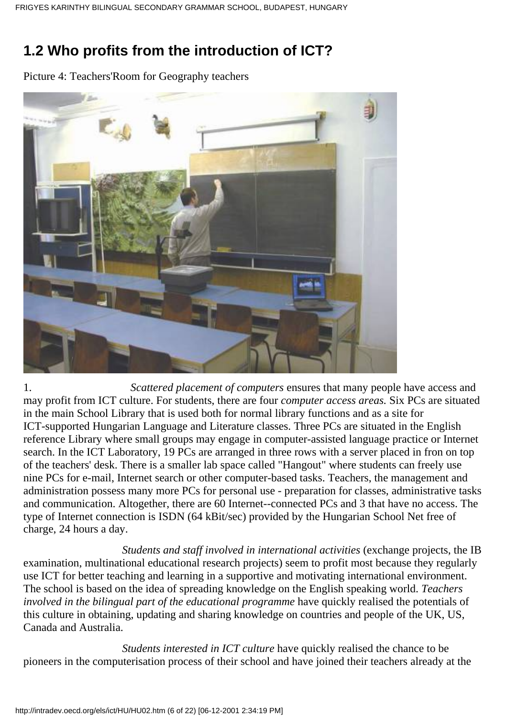# **1.2 Who profits from the introduction of ICT?**

Picture 4: Teachers'Room for Geography teachers



1. *Scattered placement of computers* ensures that many people have access and may profit from ICT culture. For students, there are four *computer access areas.* Six PCs are situated in the main School Library that is used both for normal library functions and as a site for ICT-supported Hungarian Language and Literature classes. Three PCs are situated in the English reference Library where small groups may engage in computer-assisted language practice or Internet search. In the ICT Laboratory, 19 PCs are arranged in three rows with a server placed in fron on top of the teachers' desk. There is a smaller lab space called "Hangout" where students can freely use nine PCs for e-mail, Internet search or other computer-based tasks. Teachers, the management and administration possess many more PCs for personal use - preparation for classes, administrative tasks and communication. Altogether, there are 60 Internet--connected PCs and 3 that have no access. The type of Internet connection is ISDN (64 kBit/sec) provided by the Hungarian School Net free of charge, 24 hours a day.

 *Students and staff involved in international activities* (exchange projects, the IB examination, multinational educational research projects) seem to profit most because they regularly use ICT for better teaching and learning in a supportive and motivating international environment. The school is based on the idea of spreading knowledge on the English speaking world. *Teachers involved in the bilingual part of the educational programme* have quickly realised the potentials of this culture in obtaining, updating and sharing knowledge on countries and people of the UK, US, Canada and Australia.

 *Students interested in ICT culture* have quickly realised the chance to be pioneers in the computerisation process of their school and have joined their teachers already at the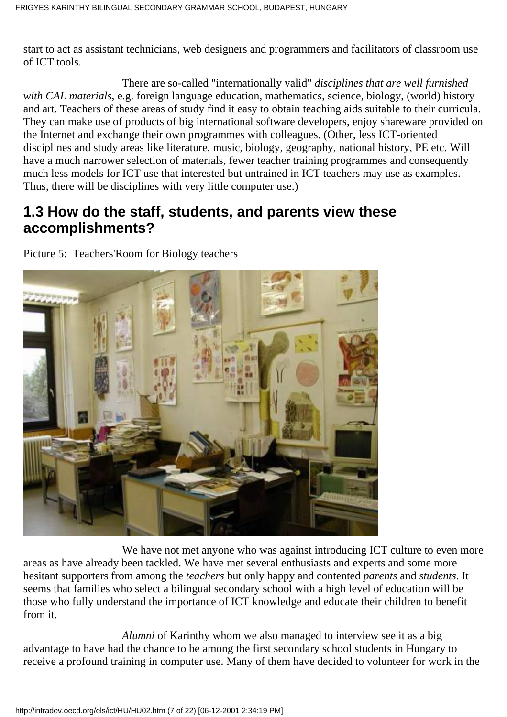start to act as assistant technicians, web designers and programmers and facilitators of classroom use of ICT tools.

 There are so-called "internationally valid" *disciplines that are well furnished with CAL materials*, e.g. foreign language education, mathematics, science, biology, (world) history and art. Teachers of these areas of study find it easy to obtain teaching aids suitable to their curricula. They can make use of products of big international software developers, enjoy shareware provided on the Internet and exchange their own programmes with colleagues. (Other, less ICT-oriented disciplines and study areas like literature, music, biology, geography, national history, PE etc. Will have a much narrower selection of materials, fewer teacher training programmes and consequently much less models for ICT use that interested but untrained in ICT teachers may use as examples. Thus, there will be disciplines with very little computer use.)

#### **1.3 How do the staff, students, and parents view these accomplishments?**

Picture 5: Teachers'Room for Biology teachers



We have not met anyone who was against introducing ICT culture to even more areas as have already been tackled. We have met several enthusiasts and experts and some more hesitant supporters from among the *teachers* but only happy and contented *parents* and *students*. It seems that families who select a bilingual secondary school with a high level of education will be those who fully understand the importance of ICT knowledge and educate their children to benefit from it.

 *Alumni* of Karinthy whom we also managed to interview see it as a big advantage to have had the chance to be among the first secondary school students in Hungary to receive a profound training in computer use. Many of them have decided to volunteer for work in the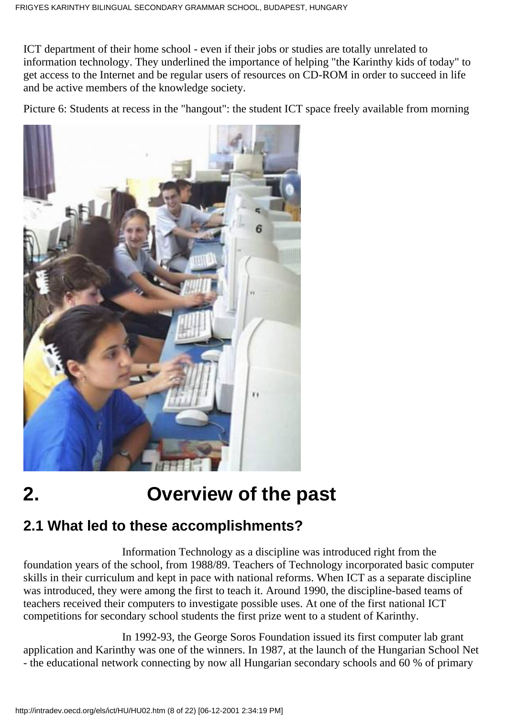ICT department of their home school - even if their jobs or studies are totally unrelated to information technology. They underlined the importance of helping "the Karinthy kids of today" to get access to the Internet and be regular users of resources on CD-ROM in order to succeed in life and be active members of the knowledge society.

Picture 6: Students at recess in the "hangout": the student ICT space freely available from morning



# **2. Overview of the past**

## **2.1 What led to these accomplishments?**

 Information Technology as a discipline was introduced right from the foundation years of the school, from 1988/89. Teachers of Technology incorporated basic computer skills in their curriculum and kept in pace with national reforms. When ICT as a separate discipline was introduced, they were among the first to teach it. Around 1990, the discipline-based teams of teachers received their computers to investigate possible uses. At one of the first national ICT competitions for secondary school students the first prize went to a student of Karinthy.

 In 1992-93, the George Soros Foundation issued its first computer lab grant application and Karinthy was one of the winners. In 1987, at the launch of the Hungarian School Net - the educational network connecting by now all Hungarian secondary schools and 60 % of primary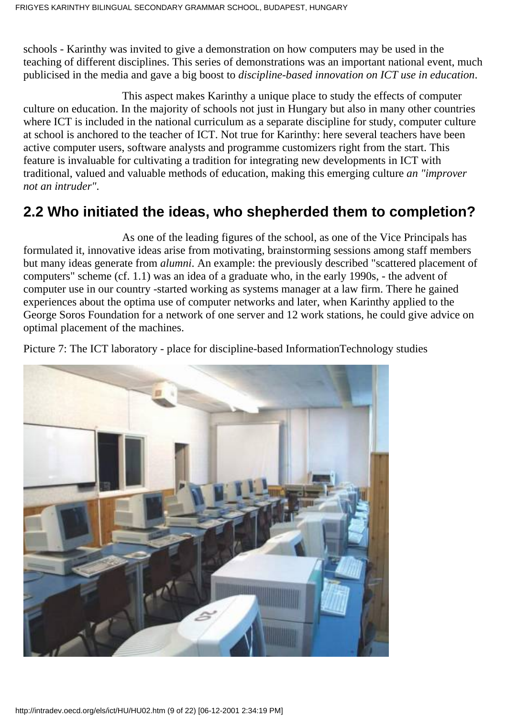schools - Karinthy was invited to give a demonstration on how computers may be used in the teaching of different disciplines. This series of demonstrations was an important national event, much publicised in the media and gave a big boost to *discipline-based innovation on ICT use in education*.

 This aspect makes Karinthy a unique place to study the effects of computer culture on education. In the majority of schools not just in Hungary but also in many other countries where ICT is included in the national curriculum as a separate discipline for study, computer culture at school is anchored to the teacher of ICT. Not true for Karinthy: here several teachers have been active computer users, software analysts and programme customizers right from the start. This feature is invaluable for cultivating a tradition for integrating new developments in ICT with traditional, valued and valuable methods of education, making this emerging culture *an "improver not an intruder"*.

### **2.2 Who initiated the ideas, who shepherded them to completion?**

 As one of the leading figures of the school, as one of the Vice Principals has formulated it, innovative ideas arise from motivating, brainstorming sessions among staff members but many ideas generate from *alumni*. An example: the previously described "scattered placement of computers" scheme (cf. 1.1) was an idea of a graduate who, in the early 1990s, - the advent of computer use in our country -started working as systems manager at a law firm. There he gained experiences about the optima use of computer networks and later, when Karinthy applied to the George Soros Foundation for a network of one server and 12 work stations, he could give advice on optimal placement of the machines.

Picture 7: The ICT laboratory - place for discipline-based InformationTechnology studies

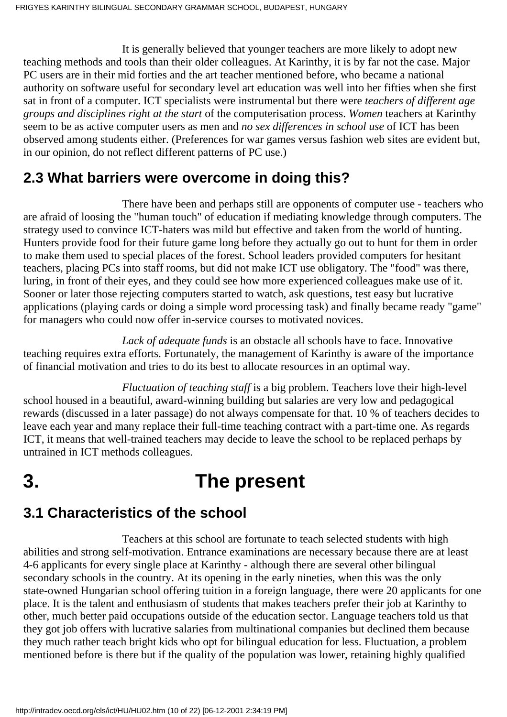It is generally believed that younger teachers are more likely to adopt new teaching methods and tools than their older colleagues. At Karinthy, it is by far not the case. Major PC users are in their mid forties and the art teacher mentioned before, who became a national authority on software useful for secondary level art education was well into her fifties when she first sat in front of a computer. ICT specialists were instrumental but there were *teachers of different age groups and disciplines right at the start* of the computerisation process. *Women* teachers at Karinthy seem to be as active computer users as men and *no sex differences in school use* of ICT has been observed among students either. (Preferences for war games versus fashion web sites are evident but, in our opinion, do not reflect different patterns of PC use.)

#### **2.3 What barriers were overcome in doing this?**

 There have been and perhaps still are opponents of computer use - teachers who are afraid of loosing the "human touch" of education if mediating knowledge through computers. The strategy used to convince ICT-haters was mild but effective and taken from the world of hunting. Hunters provide food for their future game long before they actually go out to hunt for them in order to make them used to special places of the forest. School leaders provided computers for hesitant teachers, placing PCs into staff rooms, but did not make ICT use obligatory. The "food" was there, luring, in front of their eyes, and they could see how more experienced colleagues make use of it. Sooner or later those rejecting computers started to watch, ask questions, test easy but lucrative applications (playing cards or doing a simple word processing task) and finally became ready "game" for managers who could now offer in-service courses to motivated novices.

 *Lack of adequate funds* is an obstacle all schools have to face. Innovative teaching requires extra efforts. Fortunately, the management of Karinthy is aware of the importance of financial motivation and tries to do its best to allocate resources in an optimal way.

 *Fluctuation of teaching staff* is a big problem. Teachers love their high-level school housed in a beautiful, award-winning building but salaries are very low and pedagogical rewards (discussed in a later passage) do not always compensate for that. 10 % of teachers decides to leave each year and many replace their full-time teaching contract with a part-time one. As regards ICT, it means that well-trained teachers may decide to leave the school to be replaced perhaps by untrained in ICT methods colleagues.

# **3. The present**

## **3.1 Characteristics of the school**

 Teachers at this school are fortunate to teach selected students with high abilities and strong self-motivation. Entrance examinations are necessary because there are at least 4-6 applicants for every single place at Karinthy - although there are several other bilingual secondary schools in the country. At its opening in the early nineties, when this was the only state-owned Hungarian school offering tuition in a foreign language, there were 20 applicants for one place. It is the talent and enthusiasm of students that makes teachers prefer their job at Karinthy to other, much better paid occupations outside of the education sector. Language teachers told us that they got job offers with lucrative salaries from multinational companies but declined them because they much rather teach bright kids who opt for bilingual education for less. Fluctuation, a problem mentioned before is there but if the quality of the population was lower, retaining highly qualified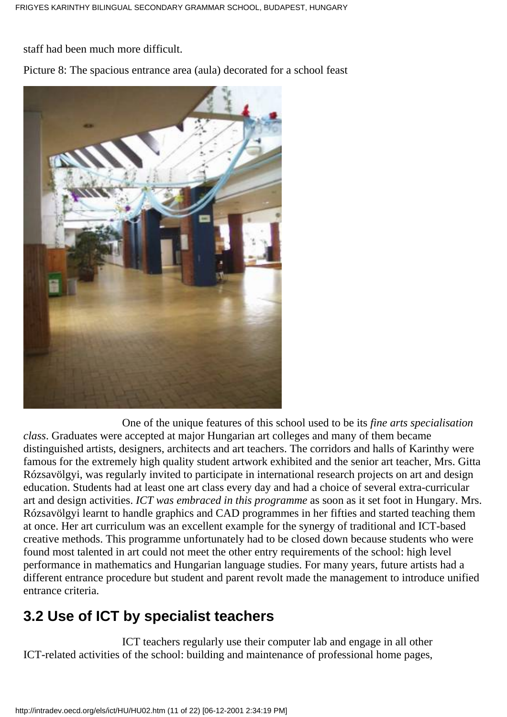staff had been much more difficult.

Picture 8: The spacious entrance area (aula) decorated for a school feast



 One of the unique features of this school used to be its *fine arts specialisation class*. Graduates were accepted at major Hungarian art colleges and many of them became distinguished artists, designers, architects and art teachers. The corridors and halls of Karinthy were famous for the extremely high quality student artwork exhibited and the senior art teacher, Mrs. Gitta Rózsavölgyi, was regularly invited to participate in international research projects on art and design education. Students had at least one art class every day and had a choice of several extra-curricular art and design activities. *ICT was embraced in this programme* as soon as it set foot in Hungary. Mrs. Rózsavölgyi learnt to handle graphics and CAD programmes in her fifties and started teaching them at once. Her art curriculum was an excellent example for the synergy of traditional and ICT-based creative methods. This programme unfortunately had to be closed down because students who were found most talented in art could not meet the other entry requirements of the school: high level performance in mathematics and Hungarian language studies. For many years, future artists had a different entrance procedure but student and parent revolt made the management to introduce unified entrance criteria.

# **3.2 Use of ICT by specialist teachers**

 ICT teachers regularly use their computer lab and engage in all other ICT-related activities of the school: building and maintenance of professional home pages,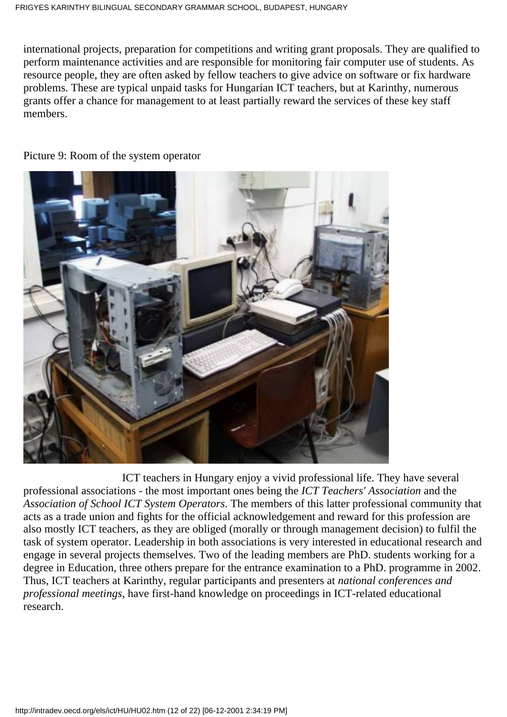international projects, preparation for competitions and writing grant proposals. They are qualified to perform maintenance activities and are responsible for monitoring fair computer use of students. As resource people, they are often asked by fellow teachers to give advice on software or fix hardware problems. These are typical unpaid tasks for Hungarian ICT teachers, but at Karinthy, numerous grants offer a chance for management to at least partially reward the services of these key staff members.

Picture 9: Room of the system operator



 ICT teachers in Hungary enjoy a vivid professional life. They have several professional associations - the most important ones being the *ICT Teachers' Association* and the *Association of School ICT System Operators*. The members of this latter professional community that acts as a trade union and fights for the official acknowledgement and reward for this profession are also mostly ICT teachers, as they are obliged (morally or through management decision) to fulfil the task of system operator. Leadership in both associations is very interested in educational research and engage in several projects themselves. Two of the leading members are PhD. students working for a degree in Education, three others prepare for the entrance examination to a PhD. programme in 2002. Thus, ICT teachers at Karinthy, regular participants and presenters at *national conferences and professional meetings*, have first-hand knowledge on proceedings in ICT-related educational research.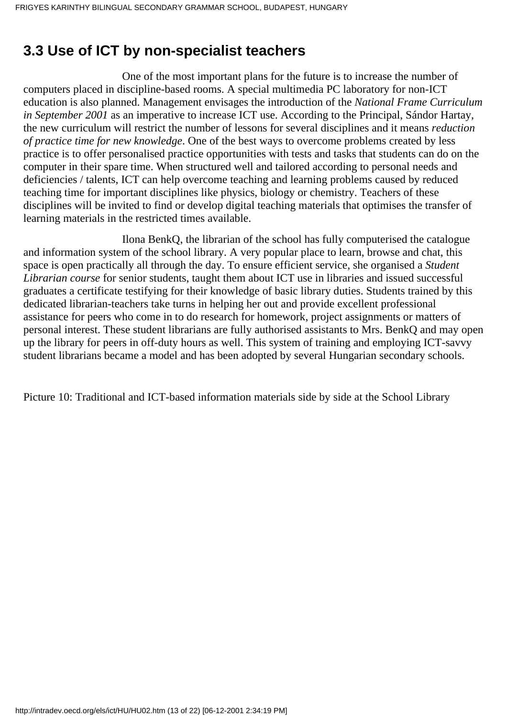## **3.3 Use of ICT by non-specialist teachers**

 One of the most important plans for the future is to increase the number of computers placed in discipline-based rooms. A special multimedia PC laboratory for non-ICT education is also planned. Management envisages the introduction of the *National Frame Curriculum in September 2001* as an imperative to increase ICT use. According to the Principal, Sándor Hartay, the new curriculum will restrict the number of lessons for several disciplines and it means *reduction of practice time for new knowledge*. One of the best ways to overcome problems created by less practice is to offer personalised practice opportunities with tests and tasks that students can do on the computer in their spare time. When structured well and tailored according to personal needs and deficiencies / talents, ICT can help overcome teaching and learning problems caused by reduced teaching time for important disciplines like physics, biology or chemistry. Teachers of these disciplines will be invited to find or develop digital teaching materials that optimises the transfer of learning materials in the restricted times available.

 Ilona BenkQ, the librarian of the school has fully computerised the catalogue and information system of the school library. A very popular place to learn, browse and chat, this space is open practically all through the day. To ensure efficient service, she organised a *Student Librarian course* for senior students, taught them about ICT use in libraries and issued successful graduates a certificate testifying for their knowledge of basic library duties. Students trained by this dedicated librarian-teachers take turns in helping her out and provide excellent professional assistance for peers who come in to do research for homework, project assignments or matters of personal interest. These student librarians are fully authorised assistants to Mrs. BenkQ and may open up the library for peers in off-duty hours as well. This system of training and employing ICT-savvy student librarians became a model and has been adopted by several Hungarian secondary schools.

Picture 10: Traditional and ICT-based information materials side by side at the School Library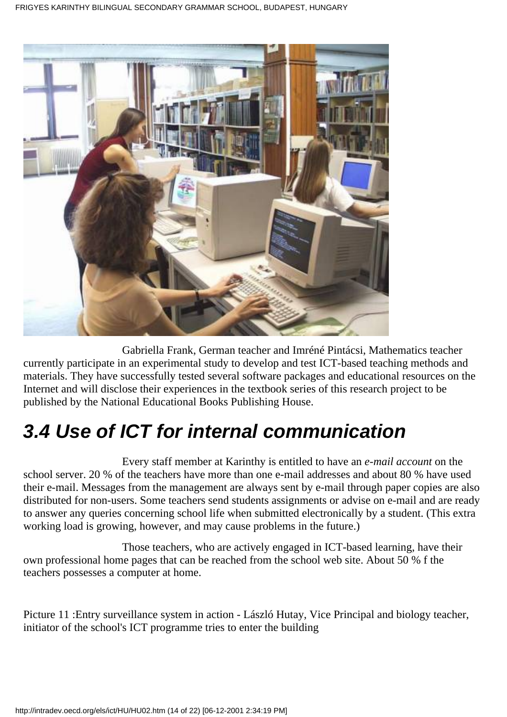

 Gabriella Frank, German teacher and Imréné Pintácsi, Mathematics teacher currently participate in an experimental study to develop and test ICT-based teaching methods and materials. They have successfully tested several software packages and educational resources on the Internet and will disclose their experiences in the textbook series of this research project to be published by the National Educational Books Publishing House.

# **3.4 Use of ICT for internal communication**

 Every staff member at Karinthy is entitled to have an *e-mail account* on the school server. 20 % of the teachers have more than one e-mail addresses and about 80 % have used their e-mail. Messages from the management are always sent by e-mail through paper copies are also distributed for non-users. Some teachers send students assignments or advise on e-mail and are ready to answer any queries concerning school life when submitted electronically by a student. (This extra working load is growing, however, and may cause problems in the future.)

 Those teachers, who are actively engaged in ICT-based learning, have their own professional home pages that can be reached from the school web site. About 50 % f the teachers possesses a computer at home.

Picture 11 :Entry surveillance system in action - László Hutay, Vice Principal and biology teacher, initiator of the school's ICT programme tries to enter the building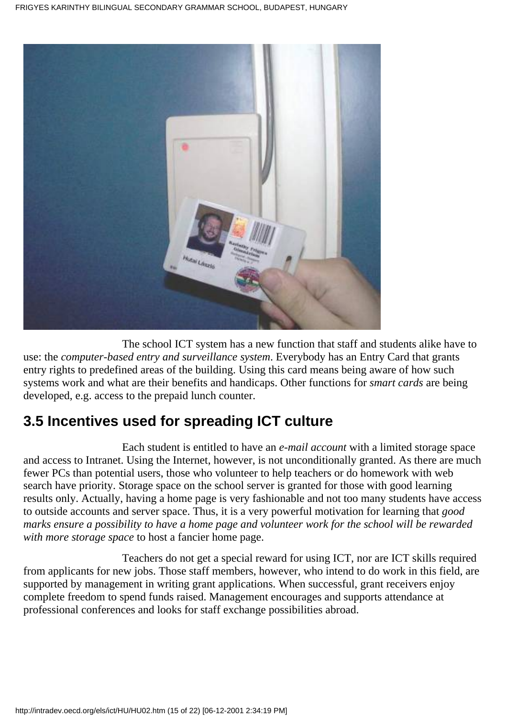

 The school ICT system has a new function that staff and students alike have to use: the *computer-based entry and surveillance system*. Everybody has an Entry Card that grants entry rights to predefined areas of the building. Using this card means being aware of how such systems work and what are their benefits and handicaps. Other functions for *smart cards* are being developed, e.g. access to the prepaid lunch counter.

## **3.5 Incentives used for spreading ICT culture**

 Each student is entitled to have an *e-mail account* with a limited storage space and access to Intranet. Using the Internet, however, is not unconditionally granted. As there are much fewer PCs than potential users, those who volunteer to help teachers or do homework with web search have priority. Storage space on the school server is granted for those with good learning results only. Actually, having a home page is very fashionable and not too many students have access to outside accounts and server space. Thus, it is a very powerful motivation for learning that *good marks ensure a possibility to have a home page and volunteer work for the school will be rewarded with more storage space* to host a fancier home page.

 Teachers do not get a special reward for using ICT, nor are ICT skills required from applicants for new jobs. Those staff members, however, who intend to do work in this field, are supported by management in writing grant applications. When successful, grant receivers enjoy complete freedom to spend funds raised. Management encourages and supports attendance at professional conferences and looks for staff exchange possibilities abroad.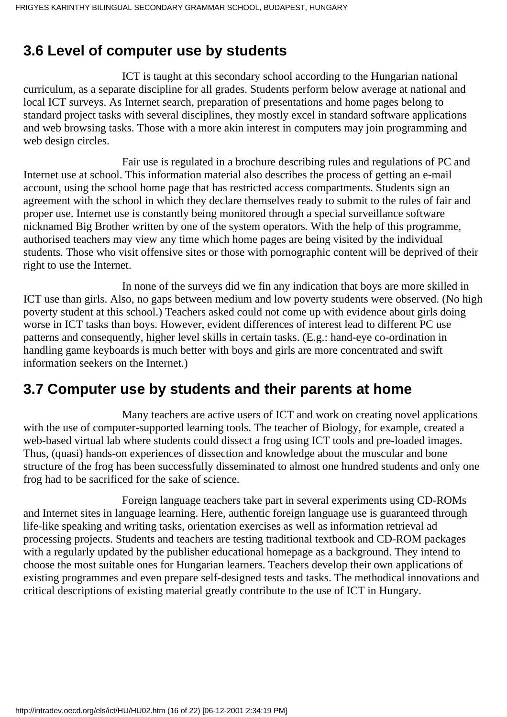### **3.6 Level of computer use by students**

 ICT is taught at this secondary school according to the Hungarian national curriculum, as a separate discipline for all grades. Students perform below average at national and local ICT surveys. As Internet search, preparation of presentations and home pages belong to standard project tasks with several disciplines, they mostly excel in standard software applications and web browsing tasks. Those with a more akin interest in computers may join programming and web design circles.

 Fair use is regulated in a brochure describing rules and regulations of PC and Internet use at school. This information material also describes the process of getting an e-mail account, using the school home page that has restricted access compartments. Students sign an agreement with the school in which they declare themselves ready to submit to the rules of fair and proper use. Internet use is constantly being monitored through a special surveillance software nicknamed Big Brother written by one of the system operators. With the help of this programme, authorised teachers may view any time which home pages are being visited by the individual students. Those who visit offensive sites or those with pornographic content will be deprived of their right to use the Internet.

 In none of the surveys did we fin any indication that boys are more skilled in ICT use than girls. Also, no gaps between medium and low poverty students were observed. (No high poverty student at this school.) Teachers asked could not come up with evidence about girls doing worse in ICT tasks than boys. However, evident differences of interest lead to different PC use patterns and consequently, higher level skills in certain tasks. (E.g.: hand-eye co-ordination in handling game keyboards is much better with boys and girls are more concentrated and swift information seekers on the Internet.)

#### **3.7 Computer use by students and their parents at home**

 Many teachers are active users of ICT and work on creating novel applications with the use of computer-supported learning tools. The teacher of Biology, for example, created a web-based virtual lab where students could dissect a frog using ICT tools and pre-loaded images. Thus, (quasi) hands-on experiences of dissection and knowledge about the muscular and bone structure of the frog has been successfully disseminated to almost one hundred students and only one frog had to be sacrificed for the sake of science.

 Foreign language teachers take part in several experiments using CD-ROMs and Internet sites in language learning. Here, authentic foreign language use is guaranteed through life-like speaking and writing tasks, orientation exercises as well as information retrieval ad processing projects. Students and teachers are testing traditional textbook and CD-ROM packages with a regularly updated by the publisher educational homepage as a background. They intend to choose the most suitable ones for Hungarian learners. Teachers develop their own applications of existing programmes and even prepare self-designed tests and tasks. The methodical innovations and critical descriptions of existing material greatly contribute to the use of ICT in Hungary.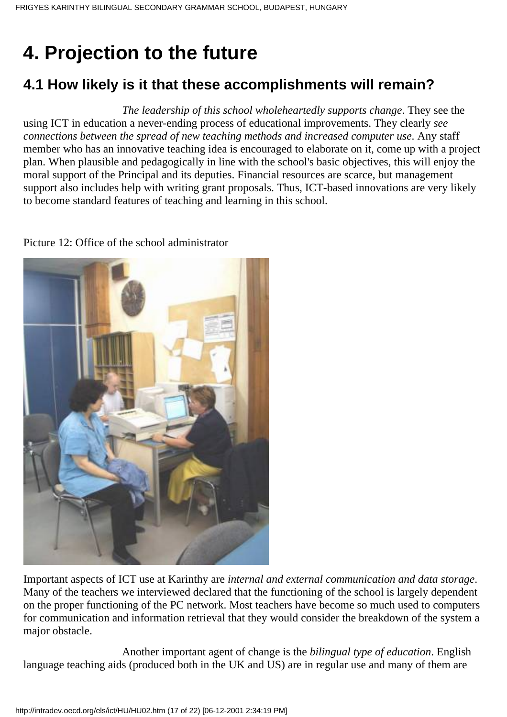# **4. Projection to the future**

# **4.1 How likely is it that these accomplishments will remain?**

 *The leadership of this school wholeheartedly supports change*. They see the using ICT in education a never-ending process of educational improvements. They clearly *see connections between the spread of new teaching methods and increased computer use*. Any staff member who has an innovative teaching idea is encouraged to elaborate on it, come up with a project plan. When plausible and pedagogically in line with the school's basic objectives, this will enjoy the moral support of the Principal and its deputies. Financial resources are scarce, but management support also includes help with writing grant proposals. Thus, ICT-based innovations are very likely to become standard features of teaching and learning in this school.

Picture 12: Office of the school administrator

Important aspects of ICT use at Karinthy are *internal and external communication and data storage*. Many of the teachers we interviewed declared that the functioning of the school is largely dependent on the proper functioning of the PC network. Most teachers have become so much used to computers for communication and information retrieval that they would consider the breakdown of the system a major obstacle.

 Another important agent of change is the *bilingual type of education*. English language teaching aids (produced both in the UK and US) are in regular use and many of them are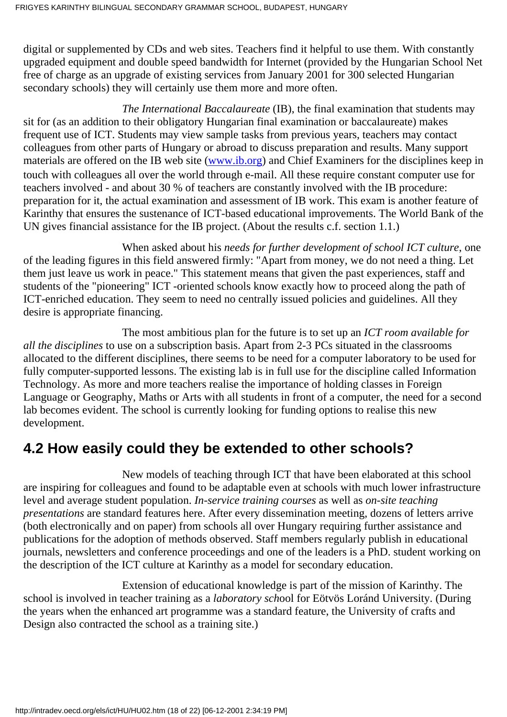digital or supplemented by CDs and web sites. Teachers find it helpful to use them. With constantly upgraded equipment and double speed bandwidth for Internet (provided by the Hungarian School Net free of charge as an upgrade of existing services from January 2001 for 300 selected Hungarian secondary schools) they will certainly use them more and more often.

 *The International Baccalaureate* (IB), the final examination that students may sit for (as an addition to their obligatory Hungarian final examination or baccalaureate) makes frequent use of ICT. Students may view sample tasks from previous years, teachers may contact colleagues from other parts of Hungary or abroad to discuss preparation and results. Many support materials are offered on the IB web site [\(www.ib.org\)](http://www.ib.org/) and Chief Examiners for the disciplines keep in touch with colleagues all over the world through e-mail. All these require constant computer use for teachers involved - and about 30 % of teachers are constantly involved with the IB procedure: preparation for it, the actual examination and assessment of IB work. This exam is another feature of Karinthy that ensures the sustenance of ICT-based educational improvements. The World Bank of the UN gives financial assistance for the IB project. (About the results c.f. section 1.1.)

 When asked about his *needs for further development of school ICT culture*, one of the leading figures in this field answered firmly: "Apart from money, we do not need a thing. Let them just leave us work in peace." This statement means that given the past experiences, staff and students of the "pioneering" ICT -oriented schools know exactly how to proceed along the path of ICT-enriched education. They seem to need no centrally issued policies and guidelines. All they desire is appropriate financing.

 The most ambitious plan for the future is to set up an *ICT room available for all the disciplines* to use on a subscription basis. Apart from 2-3 PCs situated in the classrooms allocated to the different disciplines, there seems to be need for a computer laboratory to be used for fully computer-supported lessons. The existing lab is in full use for the discipline called Information Technology. As more and more teachers realise the importance of holding classes in Foreign Language or Geography, Maths or Arts with all students in front of a computer, the need for a second lab becomes evident. The school is currently looking for funding options to realise this new development.

## **4.2 How easily could they be extended to other schools?**

 New models of teaching through ICT that have been elaborated at this school are inspiring for colleagues and found to be adaptable even at schools with much lower infrastructure level and average student population. *In-service training courses* as well as *on-site teaching presentations* are standard features here. After every dissemination meeting, dozens of letters arrive (both electronically and on paper) from schools all over Hungary requiring further assistance and publications for the adoption of methods observed. Staff members regularly publish in educational journals, newsletters and conference proceedings and one of the leaders is a PhD. student working on the description of the ICT culture at Karinthy as a model for secondary education.

 Extension of educational knowledge is part of the mission of Karinthy. The school is involved in teacher training as a *laboratory sch*ool for Eötvös Loránd University. (During the years when the enhanced art programme was a standard feature, the University of crafts and Design also contracted the school as a training site.)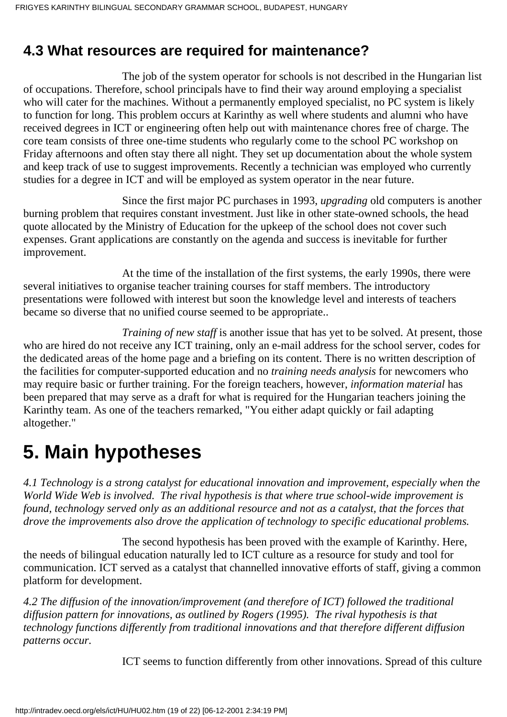#### **4.3 What resources are required for maintenance?**

 The job of the system operator for schools is not described in the Hungarian list of occupations. Therefore, school principals have to find their way around employing a specialist who will cater for the machines. Without a permanently employed specialist, no PC system is likely to function for long. This problem occurs at Karinthy as well where students and alumni who have received degrees in ICT or engineering often help out with maintenance chores free of charge. The core team consists of three one-time students who regularly come to the school PC workshop on Friday afternoons and often stay there all night. They set up documentation about the whole system and keep track of use to suggest improvements. Recently a technician was employed who currently studies for a degree in ICT and will be employed as system operator in the near future.

 Since the first major PC purchases in 1993, *upgrading* old computers is another burning problem that requires constant investment. Just like in other state-owned schools, the head quote allocated by the Ministry of Education for the upkeep of the school does not cover such expenses. Grant applications are constantly on the agenda and success is inevitable for further improvement.

 At the time of the installation of the first systems, the early 1990s, there were several initiatives to organise teacher training courses for staff members. The introductory presentations were followed with interest but soon the knowledge level and interests of teachers became so diverse that no unified course seemed to be appropriate..

*Training of new staff* is another issue that has yet to be solved. At present, those who are hired do not receive any ICT training, only an e-mail address for the school server, codes for the dedicated areas of the home page and a briefing on its content. There is no written description of the facilities for computer-supported education and no *training needs analysis* for newcomers who may require basic or further training. For the foreign teachers, however, *information material* has been prepared that may serve as a draft for what is required for the Hungarian teachers joining the Karinthy team. As one of the teachers remarked, "You either adapt quickly or fail adapting altogether."

# **5. Main hypotheses**

*4.1 Technology is a strong catalyst for educational innovation and improvement, especially when the World Wide Web is involved. The rival hypothesis is that where true school-wide improvement is found, technology served only as an additional resource and not as a catalyst, that the forces that drove the improvements also drove the application of technology to specific educational problems.*

 The second hypothesis has been proved with the example of Karinthy. Here, the needs of bilingual education naturally led to ICT culture as a resource for study and tool for communication. ICT served as a catalyst that channelled innovative efforts of staff, giving a common platform for development.

*4.2 The diffusion of the innovation/improvement (and therefore of ICT) followed the traditional diffusion pattern for innovations, as outlined by Rogers (1995). The rival hypothesis is that technology functions differently from traditional innovations and that therefore different diffusion patterns occur.*

ICT seems to function differently from other innovations. Spread of this culture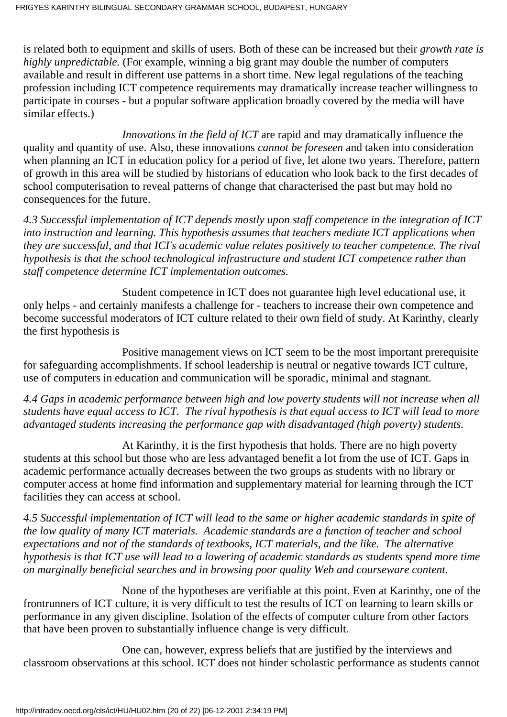is related both to equipment and skills of users. Both of these can be increased but their *growth rate is highly unpredictable.* (For example, winning a big grant may double the number of computers available and result in different use patterns in a short time. New legal regulations of the teaching profession including ICT competence requirements may dramatically increase teacher willingness to participate in courses - but a popular software application broadly covered by the media will have similar effects.)

 *Innovations in the field of ICT* are rapid and may dramatically influence the quality and quantity of use. Also, these innovations *cannot be foreseen* and taken into consideration when planning an ICT in education policy for a period of five, let alone two years. Therefore, pattern of growth in this area will be studied by historians of education who look back to the first decades of school computerisation to reveal patterns of change that characterised the past but may hold no consequences for the future.

*4.3 Successful implementation of ICT depends mostly upon staff competence in the integration of ICT into instruction and learning. This hypothesis assumes that teachers mediate ICT applications when they are successful, and that ICI's academic value relates positively to teacher competence. The rival hypothesis is that the school technological infrastructure and student ICT competence rather than staff competence determine ICT implementation outcomes.*

 Student competence in ICT does not guarantee high level educational use, it only helps - and certainly manifests a challenge for - teachers to increase their own competence and become successful moderators of ICT culture related to their own field of study. At Karinthy, clearly the first hypothesis is

 Positive management views on ICT seem to be the most important prerequisite for safeguarding accomplishments. If school leadership is neutral or negative towards ICT culture, use of computers in education and communication will be sporadic, minimal and stagnant.

*4.4 Gaps in academic performance between high and low poverty students will not increase when all students have equal access to ICT. The rival hypothesis is that equal access to ICT will lead to more advantaged students increasing the performance gap with disadvantaged (high poverty) students.*

 At Karinthy, it is the first hypothesis that holds. There are no high poverty students at this school but those who are less advantaged benefit a lot from the use of ICT. Gaps in academic performance actually decreases between the two groups as students with no library or computer access at home find information and supplementary material for learning through the ICT facilities they can access at school.

*4.5 Successful implementation of ICT will lead to the same or higher academic standards in spite of the low quality of many ICT materials. Academic standards are a function of teacher and school expectations and not of the standards of textbooks, ICT materials, and the like. The alternative hypothesis is that ICT use will lead to a lowering of academic standards as students spend more time on marginally beneficial searches and in browsing poor quality Web and courseware content.*

 None of the hypotheses are verifiable at this point. Even at Karinthy, one of the frontrunners of ICT culture, it is very difficult to test the results of ICT on learning to learn skills or performance in any given discipline. Isolation of the effects of computer culture from other factors that have been proven to substantially influence change is very difficult.

 One can, however, express beliefs that are justified by the interviews and classroom observations at this school. ICT does not hinder scholastic performance as students cannot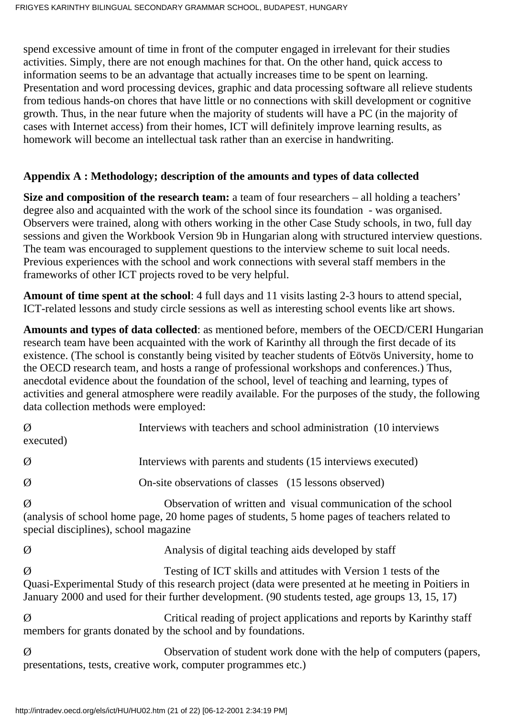spend excessive amount of time in front of the computer engaged in irrelevant for their studies activities. Simply, there are not enough machines for that. On the other hand, quick access to information seems to be an advantage that actually increases time to be spent on learning. Presentation and word processing devices, graphic and data processing software all relieve students from tedious hands-on chores that have little or no connections with skill development or cognitive growth. Thus, in the near future when the majority of students will have a PC (in the majority of cases with Internet access) from their homes, ICT will definitely improve learning results, as homework will become an intellectual task rather than an exercise in handwriting.

#### **Appendix A : Methodology; description of the amounts and types of data collected**

**Size and composition of the research team:** a team of four researchers – all holding a teachers' degree also and acquainted with the work of the school since its foundation - was organised. Observers were trained, along with others working in the other Case Study schools, in two, full day sessions and given the Workbook Version 9b in Hungarian along with structured interview questions. The team was encouraged to supplement questions to the interview scheme to suit local needs. Previous experiences with the school and work connections with several staff members in the frameworks of other ICT projects roved to be very helpful.

**Amount of time spent at the school**: 4 full days and 11 visits lasting 2-3 hours to attend special, ICT-related lessons and study circle sessions as well as interesting school events like art shows.

**Amounts and types of data collected**: as mentioned before, members of the OECD/CERI Hungarian research team have been acquainted with the work of Karinthy all through the first decade of its existence. (The school is constantly being visited by teacher students of Eötvös University, home to the OECD research team, and hosts a range of professional workshops and conferences.) Thus, anecdotal evidence about the foundation of the school, level of teaching and learning, types of activities and general atmosphere were readily available. For the purposes of the study, the following data collection methods were employed:

| Ø<br>executed)                                                                                                                              | Interviews with teachers and school administration (10 interviews)                                                                                                                                                                                                         |
|---------------------------------------------------------------------------------------------------------------------------------------------|----------------------------------------------------------------------------------------------------------------------------------------------------------------------------------------------------------------------------------------------------------------------------|
| Ø                                                                                                                                           | Interviews with parents and students (15 interviews executed)                                                                                                                                                                                                              |
| Ø                                                                                                                                           | On-site observations of classes (15 lessons observed)                                                                                                                                                                                                                      |
| Ø<br>special disciplines), school magazine                                                                                                  | Observation of written and visual communication of the school<br>(analysis of school home page, 20 home pages of students, 5 home pages of teachers related to                                                                                                             |
| Ø                                                                                                                                           | Analysis of digital teaching aids developed by staff                                                                                                                                                                                                                       |
| Ø                                                                                                                                           | Testing of ICT skills and attitudes with Version 1 tests of the<br>Quasi-Experimental Study of this research project (data were presented at he meeting in Poitiers in<br>January 2000 and used for their further development. (90 students tested, age groups 13, 15, 17) |
| Ø<br>Critical reading of project applications and reports by Karinthy staff<br>members for grants donated by the school and by foundations. |                                                                                                                                                                                                                                                                            |
| Ø                                                                                                                                           | Observation of student work done with the help of computers (papers,<br>presentations, tests, creative work, computer programmes etc.)                                                                                                                                     |